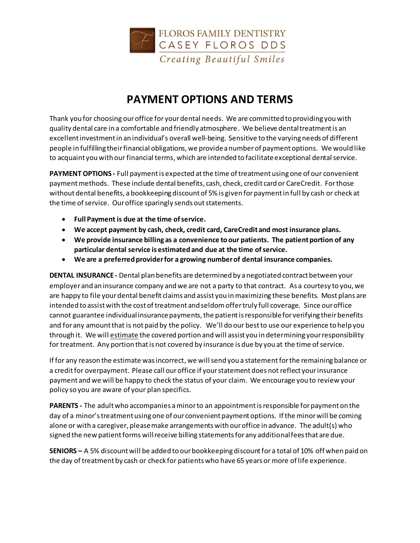

## **PAYMENT OPTIONS AND TERMS**

Thank you for choosing our office for your dental needs. We are committed to providing you with quality dental care in a comfortable and friendly atmosphere. We believe dental treatment is an excellent investment in an individual's overall well-being. Sensitive to the varying needs of different people in fulfilling their financial obligations, we provide a number of payment options. We would like to acquaint you with our financial terms, which are intended to facilitate exceptional dental service.

**PAYMENT OPTIONS -** Full payment is expected at the time of treatment using one of our convenient payment methods. These include dental benefits, cash, check, credit card or CareCredit. For those without dental benefits, a bookkeeping discount of 5% is given for payment in full by cash or check at the time of service. Our office sparingly sends out statements.

- **Full Payment is due at the time of service.**
- **We accept payment by cash, check, credit card, CareCredit and most insurance plans.**
- **We provide insurance billing as a convenience to our patients. The patient portion of any particular dental service is estimated and due at the time of service.**
- **We are a preferred provider for a growing number of dental insurance companies.**

**DENTAL INSURANCE -** Dental plan benefits are determined by a negotiated contract between your employer and an insurance company and we are not a party to that contract. As a courtesy to you, we are happy to file your dental benefit claims and assist you in maximizing these benefits. Most plans are intended to assist with the cost of treatment and seldom offer truly full coverage. Since our office cannot guarantee individual insurance payments, the patient is responsible for verifying their benefits and for any amount that is not paid by the policy. We'll do our best to use our experience to help you through it. We will estimate the covered portion and will assist you in determining your responsibility for treatment. Any portion that is not covered by insurance is due by you at the time of service.

If for any reason the estimate was incorrect, we will send you a statementfor the remaining balance or a credit for overpayment. Please call our office if your statement does not reflect your insurance payment and we will be happy to check the status of your claim. We encourage you to review your policy so you are aware of your plan specifics.

**PARENTS -** The adult who accompanies a minor to an appointment is responsible for payment on the day of a minor's treatment using one of our convenient payment options. If the minor will be coming alone or with a caregiver, please make arrangements with our office in advance. The adult(s) who signed the new patient forms will receive billing statements for any additional fees that are due.

**SENIORS –** A 5% discount will be added to our bookkeeping discount for a total of 10% off when paid on the day of treatment by cash or check for patients who have 65 years or more of life experience.